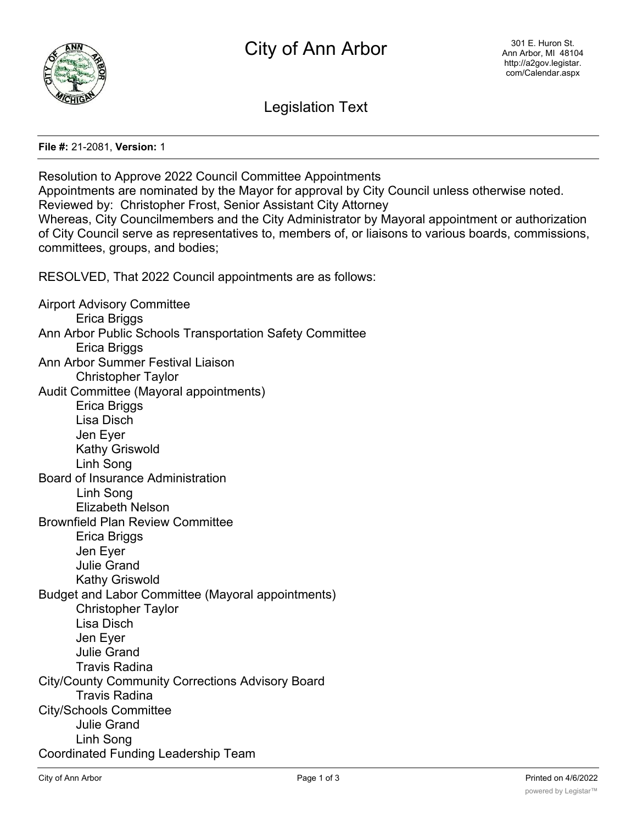

Legislation Text

**File #:** 21-2081, **Version:** 1

Resolution to Approve 2022 Council Committee Appointments Appointments are nominated by the Mayor for approval by City Council unless otherwise noted. Reviewed by: Christopher Frost, Senior Assistant City Attorney Whereas, City Councilmembers and the City Administrator by Mayoral appointment or authorization of City Council serve as representatives to, members of, or liaisons to various boards, commissions, committees, groups, and bodies; RESOLVED, That 2022 Council appointments are as follows: Airport Advisory Committee Erica Briggs Ann Arbor Public Schools Transportation Safety Committee Erica Briggs Ann Arbor Summer Festival Liaison Christopher Taylor Audit Committee (Mayoral appointments) Erica Briggs Lisa Disch Jen Eyer Kathy Griswold Linh Song Board of Insurance Administration Linh Song Elizabeth Nelson Brownfield Plan Review Committee Erica Briggs Jen Eyer Julie Grand Kathy Griswold Budget and Labor Committee (Mayoral appointments) Christopher Taylor Lisa Disch Jen Eyer Julie Grand Travis Radina City/County Community Corrections Advisory Board Travis Radina City/Schools Committee Julie Grand Linh Song Coordinated Funding Leadership Team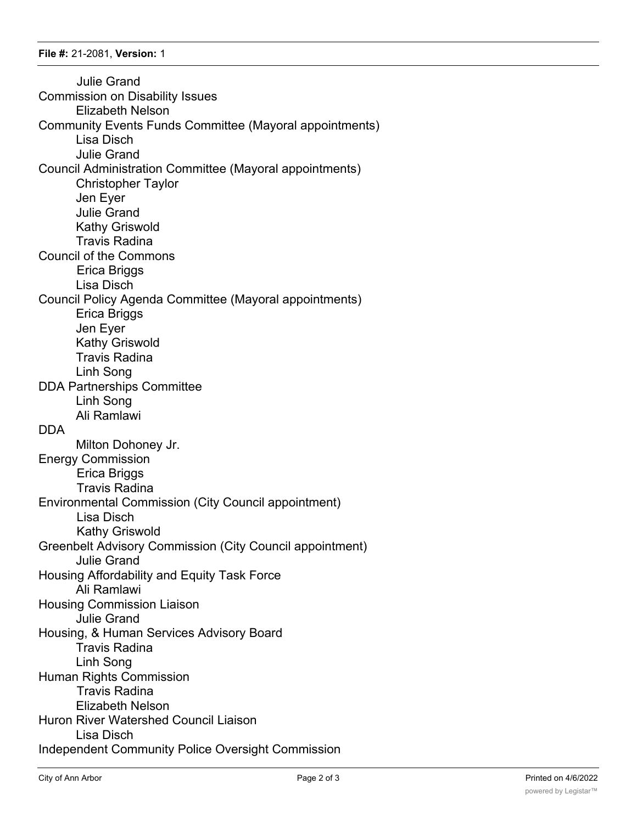Julie Grand Commission on Disability Issues Elizabeth Nelson Community Events Funds Committee (Mayoral appointments) Lisa Disch Julie Grand Council Administration Committee (Mayoral appointments) Christopher Taylor Jen Eyer Julie Grand Kathy Griswold Travis Radina Council of the Commons Erica Briggs Lisa Disch Council Policy Agenda Committee (Mayoral appointments) Erica Briggs Jen Eyer Kathy Griswold Travis Radina Linh Song DDA Partnerships Committee Linh Song Ali Ramlawi DDA Milton Dohoney Jr. Energy Commission Erica Briggs Travis Radina Environmental Commission (City Council appointment) Lisa Disch Kathy Griswold Greenbelt Advisory Commission (City Council appointment) Julie Grand Housing Affordability and Equity Task Force Ali Ramlawi Housing Commission Liaison Julie Grand Housing, & Human Services Advisory Board Travis Radina Linh Song Human Rights Commission Travis Radina Elizabeth Nelson Huron River Watershed Council Liaison Lisa Disch Independent Community Police Oversight Commission